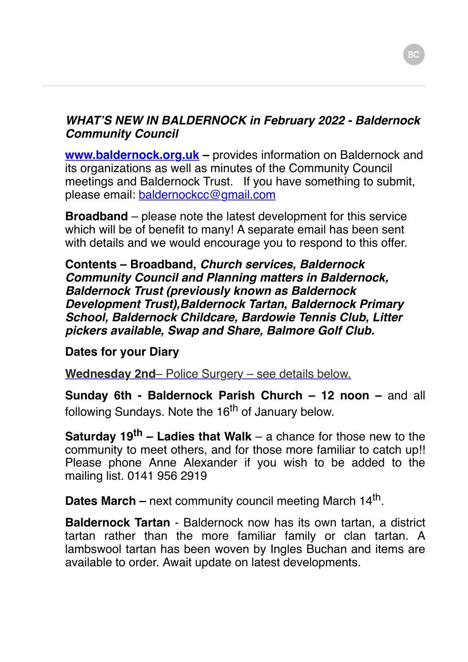## *WHAT'S NEW IN BALDERNOCK in February 2022 - Baldernock Community Council*

**www.baldernock.org.uk** – provides information on Baldernock and its organizations as well as minutes of the Community Council meetings and Baldernock Trust. If you have something to submit, please email: [baldernockcc@gmail.com](mailto:baldernockcc@gmail.com)

**Broadband** – please note the latest development for this service which will be of benefit to many! A separate email has been sent with details and we would encourage you to respond to this offer.

**Contents – Broadband,** *Church services, Baldernock Community Council and Planning matters in Baldernock, Baldernock Trust (previously known as Baldernock Development Trust),Baldernock Tartan, Baldernock Primary School, Baldernock Childcare, Bardowie Tennis Club, Litter pickers available, Swap and Share, Balmore Golf Club.*

## **Dates for your Diary**

**Wednesday 2nd**– Police Surgery – see details below.

**Sunday 6th - Baldernock Parish Church – 12 noon – and all** following Sundays. Note the 16<sup>th</sup> of January below.

**Saturday 19th – Ladies that Walk** – a chance for those new to the community to meet others, and for those more familiar to catch up!! Please phone Anne Alexander if you wish to be added to the mailing list. 0141 956 2919

Dates March – next community council meeting March 14<sup>th</sup>.

**Baldernock Tartan** - Baldernock now has its own tartan, a district tartan rather than the more familiar family or clan tartan. A lambswool tartan has been woven by Ingles Buchan and items are available to order. Await update on latest developments.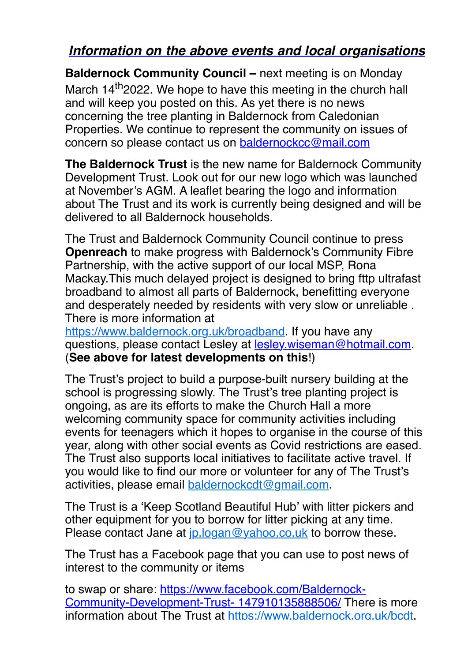## *Information on the above events and local organisations*

**Baldernock Community Council –** next meeting is on Monday March 14<sup>th</sup> 2022. We hope to have this meeting in the church hall and will keep you posted on this. As yet there is no news concerning the tree planting in Baldernock from Caledonian Properties. We continue to represent the community on issues of concern so please contact us on [baldernockcc@mail.com](mailto:baldernockcc@mail.com)

**The Baldernock Trust** is the new name for Baldernock Community Development Trust. Look out for our new logo which was launched at November's AGM. A leaflet bearing the logo and information about The Trust and its work is currently being designed and will be delivered to all Baldernock households.

The Trust and Baldernock Community Council continue to press **Openreach** to make progress with Baldernock's Community Fibre Partnership, with the active support of our local MSP, Rona Mackay.This much delayed project is designed to bring fttp ultrafast broadband to almost all parts of Baldernock, benefitting everyone and desperately needed by residents with very slow or unreliable . There is more information at

[https://www.baldernock.org.uk/broadband.](https://www.baldernock.org.uk/broadband) If you have any questions, please contact Lesley at [lesley.wiseman@hotmail.com](mailto:lesley.wiseman@hotmail.com). (**See above for latest developments on this**!)

The Trust's project to build a purpose-built nursery building at the school is progressing slowly. The Trust's tree planting project is ongoing, as are its efforts to make the Church Hall a more welcoming community space for community activities including events for teenagers which it hopes to organise in the course of this year, along with other social events as Covid restrictions are eased. The Trust also supports local initiatives to facilitate active travel. If you would like to find our more or volunteer for any of The Trust's activities, please email [baldernockcdt@gmail.com](mailto:baldernockcdt@gmail.com).

The Trust is a 'Keep Scotland Beautiful Hub' with litter pickers and other equipment for you to borrow for litter picking at any time. Please contact Jane at [jp.logan@yahoo.co.uk](mailto:jp.logan@yahoo.co.uk) to borrow these.

The Trust has a Facebook page that you can use to post news of interest to the community or items

[to swap or share: https://www.facebook.com/Baldernock-](https://www.facebook.com/Baldernock-Community-Development-Trust-%20147910135888506/)Community-Development-Trust- 147910135888506/ There is more information about The Trust at [https://www.baldernock.org.uk/bcdt.](https://www.baldernock.org.uk/bcdt)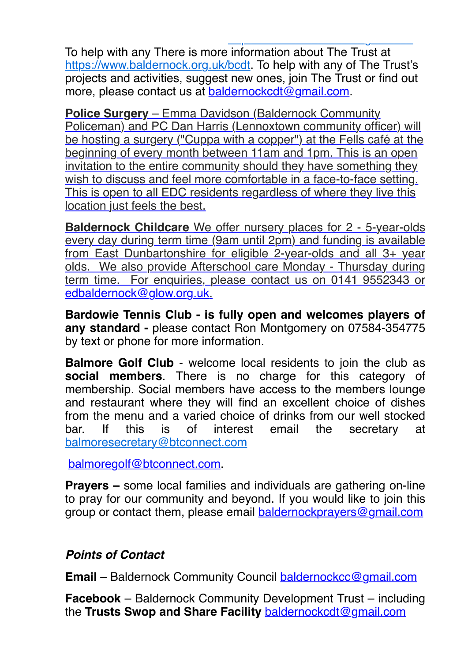information about The Trust at [https://www.baldernock.org.uk/bcdt.](https://www.baldernock.org.uk/bcdt)org.uk/bcdt.org.uk/bcdt.org.uk/bcdt.org.uk/b<br>2001 - Paris Andrew Maria San Andrew Maria San Andrew Maria San Andrew Maria San Andrew Maria San Andrew Maria To help with any There is more information about The Trust at [https://www.baldernock.org.uk/bcdt.](https://www.baldernock.org.uk/bcdt) To help with any of The Trust's projects and activities, suggest new ones, join The Trust or find out more, please contact us at [baldernockcdt@gmail.com.](mailto:baldernockcdt@gmail.com)

**Police Surgery** – Emma Davidson (Baldernock Community Policeman) and PC Dan Harris (Lennoxtown community officer) will be hosting a surgery ("Cuppa with a copper") at the Fells café at the beginning of every month between 11am and 1pm. This is an open invitation to the entire community should they have something they wish to discuss and feel more comfortable in a face-to-face setting. This is open to all EDC residents regardless of where they live this location just feels the best.

**Baldernock Childcare** We offer nursery places for 2 - 5-year-olds every day during term time (9am until 2pm) and funding is available from East Dunbartonshire for eligible 2-year-olds and all 3+ year olds. We also provide Afterschool care Monday - Thursday during term time. For enquiries, please contact us on 0141 9552343 or [edbaldernock@glow.org.uk](mailto:edbaldernock@glow.org.uk).

**Bardowie Tennis Club - is fully open and welcomes players of any standard -** please contact Ron Montgomery on 07584-354775 by text or phone for more information.

**Balmore Golf Club** - welcome local residents to join the club as **social members**. There is no charge for this category of membership. Social members have access to the members lounge and restaurant where they will find an excellent choice of dishes from the menu and a varied choice of drinks from our well stocked bar. If this is of interest email the secretary at [balmoresecretary@btconnect.com](mailto:balmoresecretary@btconnect.com)

[balmoregolf@btconnect.com.](mailto:balmoregolf@btconnect.com)

**Prayers –** some local families and individuals are gathering on-line to pray for our community and beyond. If you would like to join this group or contact them, please email [baldernockprayers@gmail.com](mailto:baldernockprayers@gmail.com)

## *Points of Contact*

**Email** – Baldernock Community Council [baldernockcc@gmail.com](mailto:baldernockcc@gmail.com)

**Facebook** – Baldernock Community Development Trust – including the **Trusts Swop and Share Facility** [baldernockcdt@gmail.com](mailto:baldernockcdt@gmail.com)